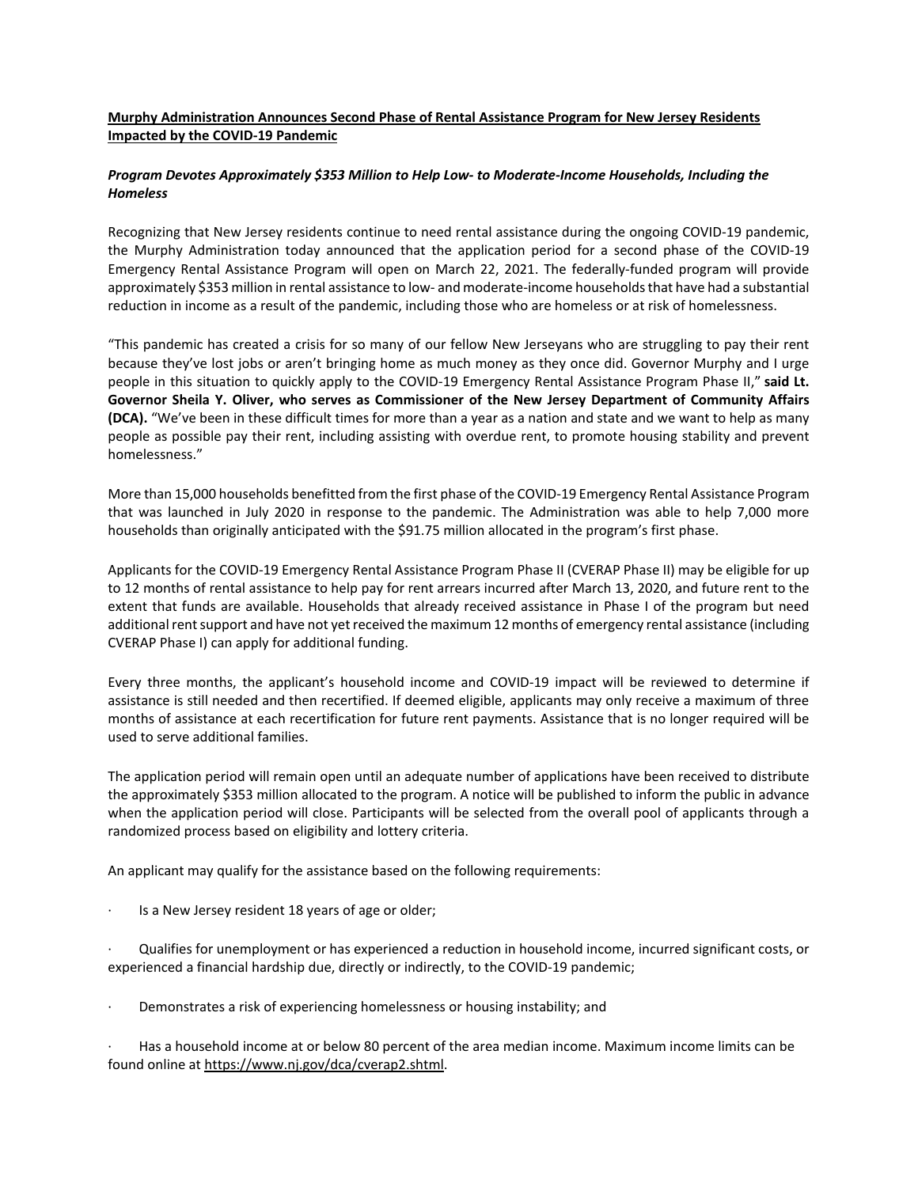## **Murphy Administration Announces Second Phase of Rental Assistance Program for New Jersey Residents Impacted by the COVID-19 Pandemic**

## *Program Devotes Approximately \$353 Million to Help Low- to Moderate-Income Households, Including the Homeless*

Recognizing that New Jersey residents continue to need rental assistance during the ongoing COVID-19 pandemic, the Murphy Administration today announced that the application period for a second phase of the COVID-19 Emergency Rental Assistance Program will open on March 22, 2021. The federally-funded program will provide approximately \$353 million in rental assistance to low- and moderate-income households that have had a substantial reduction in income as a result of the pandemic, including those who are homeless or at risk of homelessness.

"This pandemic has created a crisis for so many of our fellow New Jerseyans who are struggling to pay their rent because they've lost jobs or aren't bringing home as much money as they once did. Governor Murphy and I urge people in this situation to quickly apply to the COVID-19 Emergency Rental Assistance Program Phase II," **said Lt. Governor Sheila Y. Oliver, who serves as Commissioner of the New Jersey Department of Community Affairs (DCA).** "We've been in these difficult times for more than a year as a nation and state and we want to help as many people as possible pay their rent, including assisting with overdue rent, to promote housing stability and prevent homelessness."

More than 15,000 households benefitted from the first phase of the COVID-19 Emergency Rental Assistance Program that was launched in July 2020 in response to the pandemic. The Administration was able to help 7,000 more households than originally anticipated with the \$91.75 million allocated in the program's first phase.

Applicants for the COVID-19 Emergency Rental Assistance Program Phase II (CVERAP Phase II) may be eligible for up to 12 months of rental assistance to help pay for rent arrears incurred after March 13, 2020, and future rent to the extent that funds are available. Households that already received assistance in Phase I of the program but need additional rent support and have not yet received the maximum 12 months of emergency rental assistance (including CVERAP Phase I) can apply for additional funding.

Every three months, the applicant's household income and COVID-19 impact will be reviewed to determine if assistance is still needed and then recertified. If deemed eligible, applicants may only receive a maximum of three months of assistance at each recertification for future rent payments. Assistance that is no longer required will be used to serve additional families.

The application period will remain open until an adequate number of applications have been received to distribute the approximately \$353 million allocated to the program. A notice will be published to inform the public in advance when the application period will close. Participants will be selected from the overall pool of applicants through a randomized process based on eligibility and lottery criteria.

An applicant may qualify for the assistance based on the following requirements:

Is a New Jersey resident 18 years of age or older;

· Qualifies for unemployment or has experienced a reduction in household income, incurred significant costs, or experienced a financial hardship due, directly or indirectly, to the COVID-19 pandemic;

Demonstrates a risk of experiencing homelessness or housing instability; and

· Has a household income at or below 80 percent of the area median income. Maximum income limits can be found online at [https://www.nj.gov/dca/cverap2.shtml.](https://www.nj.gov/dca/cverap2.shtml)